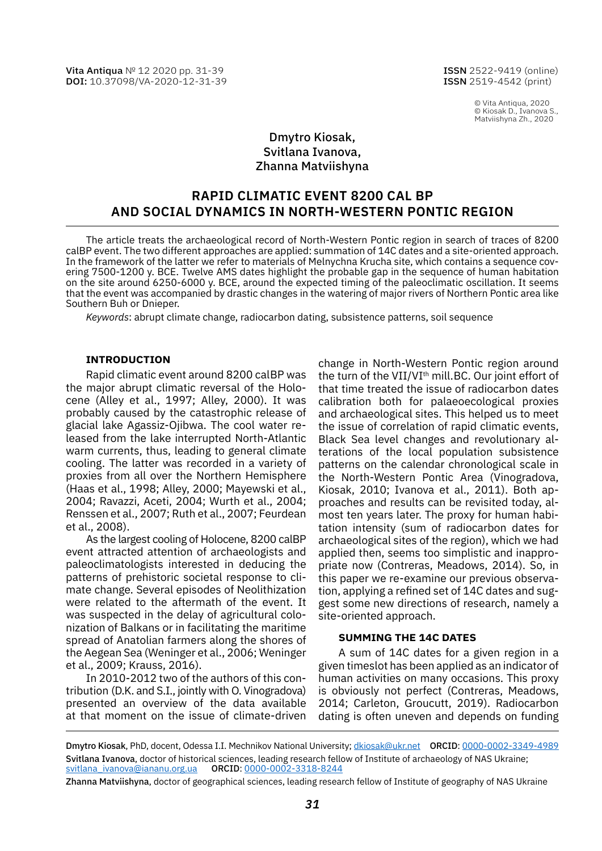Vita Antiqua № 12 2020 pp. 31-39 DOI: [10.37098/VA-2020-12-31-39](https://www.doi.org/10.37098/VA-2020-12-31-39) ISSN 2522-9419 (online) ISSN 2519-4542 (print)

> © Vita Antiqua, 2020 © Kiosak D., Ivanova S., Matviishyna Zh., 2020

# Dmytro Kiosak, Svitlana Ivanova, Zhanna Matviishyna

# **RAPID CLIMATIC EVENT 8200 cal BP AND SOCIAL DYNAMICS IN NORTH-WESTERN PONTIC REGION**

The article treats the archaeological record of North-Western Pontic region in search of traces of 8200 calBP event. The two different approaches are applied: summation of 14C dates and a site-oriented approach. In the framework of the latter we refer to materials of Melnychna Krucha site, which contains a sequence covering 7500-1200 y. BCE. Twelve AMS dates highlight the probable gap in the sequence of human habitation on the site around 6250-6000 y. BCE, around the expected timing of the paleoclimatic oscillation. It seems that the event was accompanied by drastic changes in the watering of major rivers of Northern Pontic area like Southern Buh or Dnieper.

*Keywords*: abrupt climate change, radiocarbon dating, subsistence patterns, soil sequence

#### **Introduction**

Rapid climatic event around 8200 calBP was the major abrupt climatic reversal of the Holocene (Alley et al., 1997; Alley, 2000). It was probably caused by the catastrophic release of glacial lake Agassiz-Ojibwa. The cool water released from the lake interrupted North-Atlantic warm currents, thus, leading to general climate cooling. The latter was recorded in a variety of proxies from all over the Northern Hemisphere (Haas et al., 1998; Alley, 2000; Mayewski et al., 2004; Ravazzi, Aceti, 2004; Wurth et al., 2004; Renssen et al., 2007; Ruth et al., 2007; Feurdean et al., 2008).

As the largest cooling of Holocene, 8200 calBP event attracted attention of archaeologists and paleoclimatologists interested in deducing the patterns of prehistoric societal response to climate change. Several episodes of Neolithization were related to the aftermath of the event. It was suspected in the delay of agricultural colonization of Balkans or in facilitating the maritime spread of Anatolian farmers along the shores of the Aegean Sea (Weninger et al., 2006; Weninger et al., 2009; Krauss, 2016).

In 2010-2012 two of the authors of this contribution (D.K. and S.I., jointly with O. Vinogradova) presented an overview of the data available at that moment on the issue of climate-driven

change in North-Western Pontic region around the turn of the VII/VI<sup>th</sup> mill.BC. Our joint effort of that time treated the issue of radiocarbon dates calibration both for palaeoecological proxies and archaeological sites. This helped us to meet the issue of correlation of rapid climatic events, Black Sea level changes and revolutionary alterations of the local population subsistence patterns on the calendar chronological scale in the North-Western Pontic Area (Vinogradova, Kiosak, 2010; Ivanova et al., 2011). Both approaches and results can be revisited today, almost ten years later. The proxy for human habitation intensity (sum of radiocarbon dates for archaeological sites of the region), which we had applied then, seems too simplistic and inappropriate now (Contreras, Meadows, 2014). So, in this paper we re-examine our previous observation, applying a refined set of 14C dates and suggest some new directions of research, namely a site-oriented approach.

### **Summing the 14C dates**

A sum of 14C dates for a given region in a given timeslot has been applied as an indicator of human activities on many occasions. This proxy is obviously not perfect (Contreras, Meadows, 2014; Carleton, Groucutt, 2019). Radiocarbon dating is often uneven and depends on funding

Dmytro Kiosak, PhD, docent, Odessa I.I. Mechnikov National University; [dkiosak@ukr.net](mailto:dkiosak%40ukr.net?subject=) ORCID: [0000-0002-3349-4989](https://orcid.org/0000-0002-3349-4989) Svitlana Ivanova, doctor of historical sciences, leading research fellow of Institute of archaeology of NAS Ukraine; [svitlana\\_ivanova@iananu.org.ua](mailto:svitlana_ivanova%40iananu.org.ua?subject=) ORCID: [0000-0002-3318-8244](https://orcid.org/0000-0002-3318-8244
)

Zhanna Matviishyna, doctor of geographical sciences, leading research fellow of Institute of geography of NAS Ukraine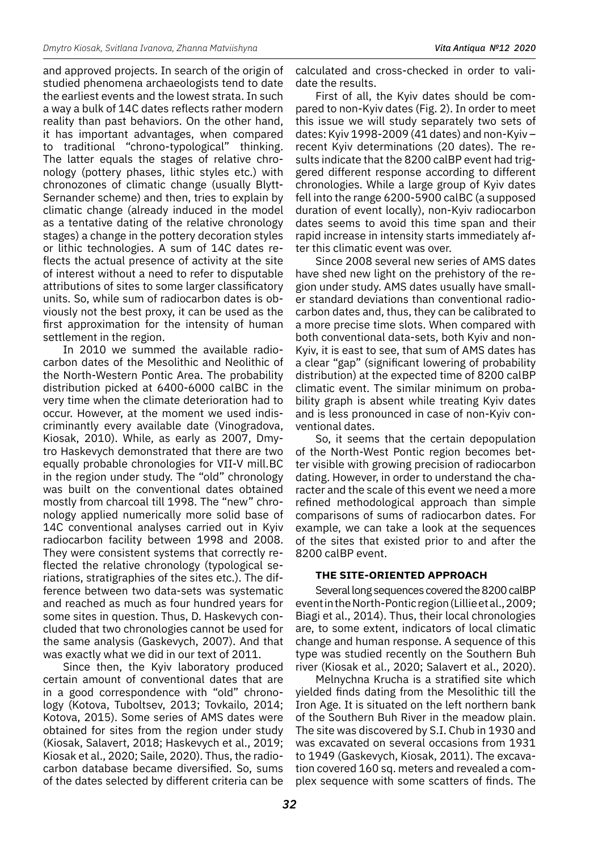and approved projects. In search of the origin of studied phenomena archaeologists tend to date the earliest events and the lowest strata. In such a way a bulk of 14C dates reflects rather modern reality than past behaviors. On the other hand, it has important advantages, when compared to traditional "chrono-typological" thinking. The latter equals the stages of relative chronology (pottery phases, lithic styles etc.) with chronozones of climatic change (usually Blytt-Sernander scheme) and then, tries to explain by climatic change (already induced in the model as a tentative dating of the relative chronology stages) a change in the pottery decoration styles or lithic technologies. A sum of 14C dates reflects the actual presence of activity at the site of interest without a need to refer to disputable attributions of sites to some larger classificatory units. So, while sum of radiocarbon dates is obviously not the best proxy, it can be used as the first approximation for the intensity of human settlement in the region.

In 2010 we summed the available radiocarbon dates of the Mesolithic and Neolithic of the North-Western Pontic Area. The probability distribution picked at 6400-6000 calBC in the very time when the climate deterioration had to occur. However, at the moment we used indiscriminantly every available date (Vinogradova, Kiosak, 2010). While, as early as 2007, Dmytro Haskevych demonstrated that there are two equally probable chronologies for VII-V mill.BC in the region under study. The "old" chronology was built on the conventional dates obtained mostly from charcoal till 1998. The "new" chronology applied numerically more solid base of 14C conventional analyses carried out in Kyiv radiocarbon facility between 1998 and 2008. They were consistent systems that correctly reflected the relative chronology (typological seriations, stratigraphies of the sites etc.). The difference between two data-sets was systematic and reached as much as four hundred years for some sites in question. Thus, D. Haskevych concluded that two chronologies cannot be used for the same analysis (Gaskevych, 2007). And that was exactly what we did in our text of 2011.

Since then, the Kyiv laboratory produced certain amount of conventional dates that are in a good correspondence with "old" chronology (Kotova, Tuboltsev, 2013; Tovkailo, 2014; Kotova, 2015). Some series of AMS dates were obtained for sites from the region under study (Kiosak, Salavert, 2018; Haskevych et al., 2019; Kiosak et al., 2020; Saile, 2020). Thus, the radiocarbon database became diversified. So, sums of the dates selected by different criteria can be

calculated and cross-checked in order to validate the results.

First of all, the Kyiv dates should be compared to non-Kyiv dates (Fig. 2). In order to meet this issue we will study separately two sets of dates: Kyiv 1998-2009 (41 dates) and non-Kyiv – recent Kyiv determinations (20 dates). The results indicate that the 8200 calBP event had triggered different response according to different chronologies. While a large group of Kyiv dates fell into the range 6200-5900 calBC (a supposed duration of event locally), non-Kyiv radiocarbon dates seems to avoid this time span and their rapid increase in intensity starts immediately after this climatic event was over.

Since 2008 several new series of AMS dates have shed new light on the prehistory of the region under study. AMS dates usually have smaller standard deviations than conventional radiocarbon dates and, thus, they can be calibrated to a more precise time slots. When compared with both conventional data-sets, both Kyiv and non-Kyiv, it is east to see, that sum of AMS dates has a clear "gap" (significant lowering of probability distribution) at the expected time of 8200 calBP climatic event. The similar minimum on probability graph is absent while treating Kyiv dates and is less pronounced in case of non-Kyiv conventional dates.

So, it seems that the certain depopulation of the North-West Pontic region becomes better visible with growing precision of radiocarbon dating. However, in order to understand the character and the scale of this event we need a more refined methodological approach than simple comparisons of sums of radiocarbon dates. For example, we can take a look at the sequences of the sites that existed prior to and after the 8200 calBP event.

## **The site-oriented approach**

Several long sequences covered the 8200 calBP event in the North-Pontic region (Lillie et al., 2009; Biagi et al., 2014). Thus, their local chronologies are, to some extent, indicators of local climatic change and human response. A sequence of this type was studied recently on the Southern Buh river (Kiosak et al., 2020; Salavert et al., 2020).

Melnychna Krucha is a stratified site which yielded finds dating from the Mesolithic till the Iron Age. It is situated on the left northern bank of the Southern Buh River in the meadow plain. The site was discovered by S.I. Chub in 1930 and was excavated on several occasions from 1931 to 1949 (Gaskevych, Kiosak, 2011). The excavation covered 160 sq. meters and revealed a complex sequence with some scatters of finds. The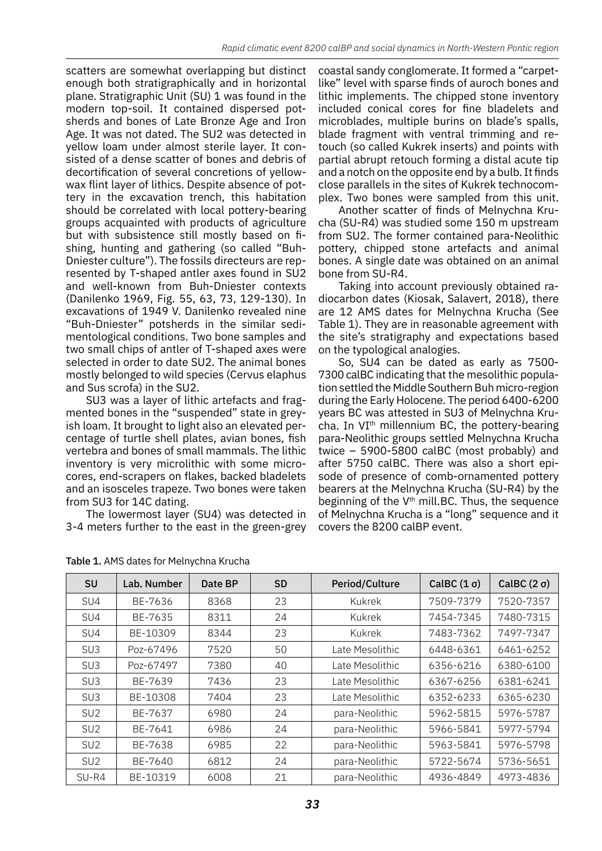scatters are somewhat overlapping but distinct enough both stratigraphically and in horizontal plane. Stratigraphic Unit (SU) 1 was found in the modern top-soil. It contained dispersed potsherds and bones of Late Bronze Age and Iron Age. It was not dated. The SU2 was detected in yellow loam under almost sterile layer. It consisted of a dense scatter of bones and debris of decortification of several concretions of yellowwax flint layer of lithics. Despite absence of pottery in the excavation trench, this habitation should be correlated with local pottery-bearing groups acquainted with products of agriculture but with subsistence still mostly based on fishing, hunting and gathering (so called "Buh-Dniester culture"). The fossils directeurs are represented by T-shaped antler axes found in SU2 and well-known from Buh-Dniester contexts (Danilenko 1969, Fig. 55, 63, 73, 129-130). In excavations of 1949 V. Danilenko revealed nine "Buh-Dniester" potsherds in the similar sedimentological conditions. Two bone samples and two small chips of antler of T-shaped axes were selected in order to date SU2. The animal bones mostly belonged to wild species (Cervus elaphus and Sus scrofa) in the SU2.

SU3 was a layer of lithic artefacts and fragmented bones in the "suspended" state in greyish loam. It brought to light also an elevated percentage of turtle shell plates, avian bones, fish vertebra and bones of small mammals. The lithic inventory is very microlithic with some microcores, end-scrapers on flakes, backed bladelets and an isosceles trapeze. Two bones were taken from SU3 for 14C dating.

The lowermost layer (SU4) was detected in 3-4 meters further to the east in the green-grey coastal sandy conglomerate. It formed a "carpetlike" level with sparse finds of auroch bones and lithic implements. The chipped stone inventory included conical cores for fine bladelets and microblades, multiple burins on blade's spalls, blade fragment with ventral trimming and retouch (so called Kukrek inserts) and points with partial abrupt retouch forming a distal acute tip and a notch on the opposite end by a bulb. It finds close parallels in the sites of Kukrek technocomplex. Two bones were sampled from this unit.

Another scatter of finds of Melnychna Krucha (SU-R4) was studied some 150 m upstream from SU2. The former contained para-Neolithic pottery, chipped stone artefacts and animal bones. A single date was obtained on an animal bone from SU-R4.

Taking into account previously obtained radiocarbon dates (Kiosak, Salavert, 2018), there are 12 AMS dates for Melnychna Krucha (See Table 1). They are in reasonable agreement with the site's stratigraphy and expectations based on the typological analogies.

So, SU4 can be dated as early as 7500- 7300 calBC indicating that the mesolithic population settled the Middle Southern Buh micro-region during the Early Holocene. The period 6400-6200 years BC was attested in SU3 of Melnychna Krucha. In VI<sup>th</sup> millennium BC, the pottery-bearing para-Neolithic groups settled Melnychna Krucha twice – 5900-5800 calBC (most probably) and after 5750 calBC. There was also a short episode of presence of comb-ornamented pottery bearers at the Melnychna Krucha (SU-R4) by the beginning of the  $V<sup>th</sup>$  mill.BC. Thus, the sequence of Melnychna Krucha is a "long" sequence and it covers the 8200 calBP event.

| <b>SU</b>       | Lab. Number | Date BP | <b>SD</b> | Period/Culture  | CalBC $(1 \sigma)$ | CalBC $(2 \sigma)$ |
|-----------------|-------------|---------|-----------|-----------------|--------------------|--------------------|
| SU4             | BE-7636     | 8368    | 23        | Kukrek          | 7509-7379          | 7520-7357          |
| SU4             | BE-7635     | 8311    | 24        | Kukrek          | 7454-7345          | 7480-7315          |
| SU4             | BE-10309    | 8344    | 23        | Kukrek          | 7483-7362          | 7497-7347          |
| SU <sub>3</sub> | Poz-67496   | 7520    | 50        | Late Mesolithic | 6448-6361          | 6461-6252          |
| SU <sub>3</sub> | Poz-67497   | 7380    | 40        | Late Mesolithic | 6356-6216          | 6380-6100          |
| SU <sub>3</sub> | BE-7639     | 7436    | 23        | Late Mesolithic | 6367-6256          | 6381-6241          |
| SU <sub>3</sub> | BE-10308    | 7404    | 23        | Late Mesolithic | 6352-6233          | 6365-6230          |
| SU <sub>2</sub> | BE-7637     | 6980    | 24        | para-Neolithic  | 5962-5815          | 5976-5787          |
| SU <sub>2</sub> | BE-7641     | 6986    | 24        | para-Neolithic  | 5966-5841          | 5977-5794          |
| SU <sub>2</sub> | BE-7638     | 6985    | 22        | para-Neolithic  | 5963-5841          | 5976-5798          |
| SU <sub>2</sub> | BE-7640     | 6812    | 24        | para-Neolithic  | 5722-5674          | 5736-5651          |
| SU-R4           | BE-10319    | 6008    | 21        | para-Neolithic  | 4936-4849          | 4973-4836          |

Table 1. AMS dates for Melnychna Krucha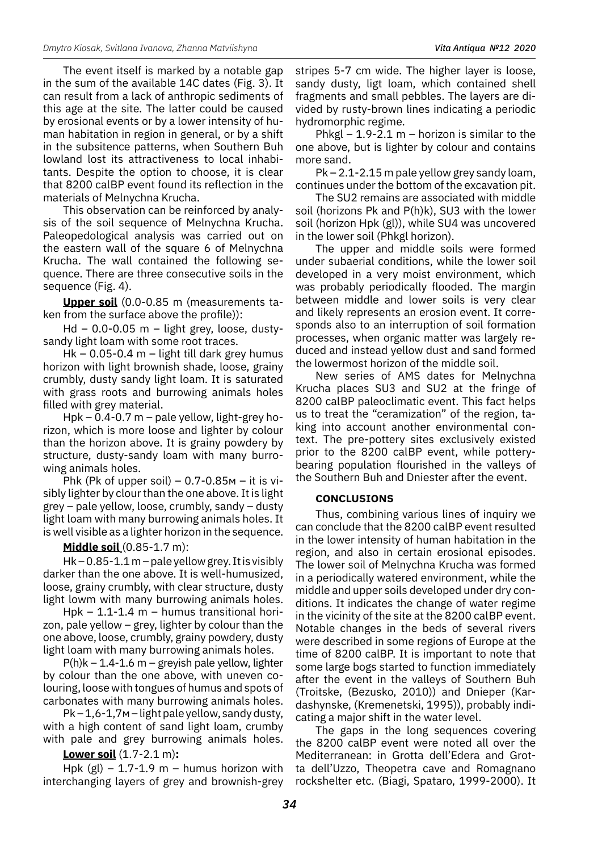The event itself is marked by a notable gap in the sum of the available 14C dates (Fig. 3). It can result from a lack of anthropic sediments of this age at the site. The latter could be caused by erosional events or by a lower intensity of human habitation in region in general, or by a shift in the subsitence patterns, when Southern Buh lowland lost its attractiveness to local inhabitants. Despite the option to choose, it is clear that 8200 calBP event found its reflection in the materials of Melnychna Krucha.

This observation can be reinforced by analysis of the soil sequence of Melnychna Krucha. Paleopedological analysis was carried out on the eastern wall of the square 6 of Melnychna Krucha. The wall contained the following sequence. There are three consecutive soils in the sequence (Fig. 4).

**Upper soil** (0.0-0.85 m (measurements taken from the surface above the profile)):

Hd – 0.0-0.05 m – light grey, loose, dustysandy light loam with some root traces.

Hk – 0.05-0.4 m – light till dark grey humus horizon with light brownish shade, loose, grainy crumbly, dusty sandy light loam. It is saturated with grass roots and burrowing animals holes filled with grey material.

Hpk – 0.4-0.7 m – pale yellow, light-grey horizon, which is more loose and lighter by colour than the horizon above. It is grainy powdery by structure, dusty-sandy loam with many burrowing animals holes.

Phk (Pk of upper soil)  $-0.7-0.85M -$  it is visibly lighter by clour than the one above. It is light grey – pale yellow, loose, crumbly, sandy – dusty light loam with many burrowing animals holes. It is well visible as a lighter horizon in the sequence.

# **Middle soil** (0.85-1.7 m):

 $Hk - 0.85 - 1.1 m$  – pale yellow grey. It is visibly darker than the one above. It is well-humusized, loose, grainy crumbly, with clear structure, dusty light lowm with many burrowing animals holes.

Hpk – 1.1-1.4 m – humus transitional horizon, pale yellow – grey, lighter by colour than the one above, loose, crumbly, grainy powdery, dusty light loam with many burrowing animals holes.

 $P(h)k - 1.4 - 1.6$  m – greyish pale yellow, lighter by colour than the one above, with uneven colouring, loose with tongues of humus and spots of carbonates with many burrowing animals holes.

 $Pk - 1.6 - 1.7M - light$  pale yellow, sandy dusty, with a high content of sand light loam, crumby with pale and grey burrowing animals holes.

**Lower soil** (1.7-2.1 m)**:**

Hpk  $(gl)$  – 1.7-1.9 m – humus horizon with interchanging layers of grey and brownish-grey stripes 5-7 cm wide. The higher layer is loose, sandy dusty, ligt loam, which contained shell fragments and small pebbles. The layers are divided by rusty-brown lines indicating a periodic hydromorphic regime.

Phkgl  $-$  1.9-2.1 m  $-$  horizon is similar to the one above, but is lighter by colour and contains more sand.

Pk – 2.1-2.15 m pale yellow grey sandy loam, continues under the bottom of the excavation pit.

The SU2 remains are associated with middle soil (horizons Pk and P(h)k), SU3 with the lower soil (horizon Hpk (gl)), while SU4 was uncovered in the lower soil (Phkgl horizon).

The upper and middle soils were formed under subaerial conditions, while the lower soil developed in a very moist environment, which was probably periodically flooded. The margin between middle and lower soils is very clear and likely represents an erosion event. It corresponds also to an interruption of soil formation processes, when organic matter was largely reduced and instead yellow dust and sand formed the lowermost horizon of the middle soil.

New series of AMS dates for Melnychna Krucha places SU3 and SU2 at the fringe of 8200 calBP paleoclimatic event. This fact helps us to treat the "ceramization" of the region, taking into account another environmental context. The pre-pottery sites exclusively existed prior to the 8200 calBP event, while potterybearing population flourished in the valleys of the Southern Buh and Dniester after the event.

## **Conclusions**

Thus, combining various lines of inquiry we can conclude that the 8200 calBP event resulted in the lower intensity of human habitation in the region, and also in certain erosional episodes. The lower soil of Melnychna Krucha was formed in a periodically watered environment, while the middle and upper soils developed under dry conditions. It indicates the change of water regime in the vicinity of the site at the 8200 calBP event. Notable changes in the beds of several rivers were described in some regions of Europe at the time of 8200 calBP. It is important to note that some large bogs started to function immediately after the event in the valleys of Southern Buh (Troitske, (Bezusko, 2010)) and Dnieper (Kardashynske, (Kremenetski, 1995)), probably indicating a major shift in the water level.

The gaps in the long sequences covering the 8200 calBP event were noted all over the Mediterranean: in Grotta dell'Edera and Grotta dell'Uzzo, Theopetra cave and Romagnano rockshelter etc. (Biagi, Spataro, 1999-2000). It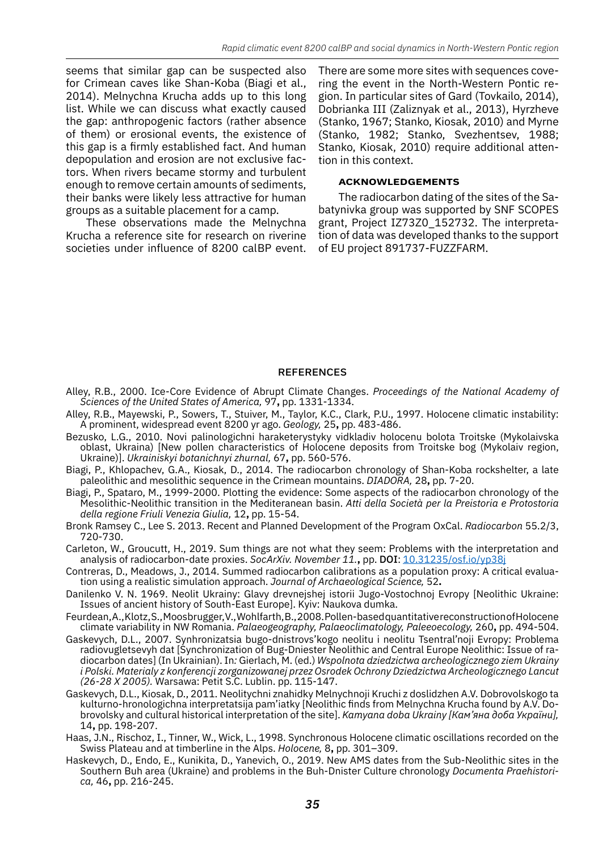seems that similar gap can be suspected also for Crimean caves like Shan-Koba (Biagi et al., 2014). Melnychna Krucha adds up to this long list. While we can discuss what exactly caused the gap: anthropogenic factors (rather absence of them) or erosional events, the existence of this gap is a firmly established fact. And human depopulation and erosion are not exclusive factors. When rivers became stormy and turbulent enough to remove certain amounts of sediments, their banks were likely less attractive for human groups as a suitable placement for a camp.

These observations made the Melnychna Krucha a reference site for research on riverine societies under influence of 8200 calBP event. There are some more sites with sequences covering the event in the North-Western Pontic region. In particular sites of Gard (Tovkailo, 2014), Dobrianka III (Zaliznyak et al., 2013), Hyrzheve (Stanko, 1967; Stanko, Kiosak, 2010) and Myrne (Stanko, 1982; Stanko, Svezhentsev, 1988; Stanko, Kiosak, 2010) require additional attention in this context.

### **Acknowledgements**

The radiocarbon dating of the sites of the Sabatynivka group was supported by SNF SCOPES grant, Project IZ73Z0\_152732. The interpretation of data was developed thanks to the support of EU project 891737-FUZZFARM.

### **REFERENCES**

- Alley, R.B., 2000. Ice-Core Evidence of Abrupt Climate Changes. *Proceedings of the National Academy of Sciences of the United States of America,* 97**,** pp. 1331-1334.
- Alley, R.B., Mayewski, P., Sowers, T., Stuiver, M., Taylor, K.C., Clark, P.U., 1997. Holocene climatic instability: A prominent, widespread event 8200 yr ago. *Geology,* 25**,** pp. 483-486.
- Bezusko, L.G., 2010. Novi palinologichni haraketerystyky vidkladiv holocenu bolota Troitske (Mykolaivska oblast, Ukraina) [New pollen characteristics of Holocene deposits from Troitske bog (Mykolaiv region, Ukraine)]. *Ukrainiskyi botanichnyi zhurnal,* 67**,** pp. 560-576.
- Biagi, P., Khlopachev, G.A., Kiosak, D., 2014. The radiocarbon chronology of Shan-Koba rockshelter, a late paleolithic and mesolithic sequence in the Crimean mountains. *DIADORA,* 28**,** pp. 7-20.
- Biagi, P., Spataro, M., 1999-2000. Plotting the evidence: Some aspects of the radiocarbon chronology of the Mesolithic-Neolithic transition in the Mediteranean basin. *Atti della Società per la Preistoria e Protostoria della regione Friuli Venezia Giulia,* 12**,** pp. 15-54.
- Bronk Ramsey C., Lee S. 2013. Recent and Planned Development of the Program OxCal. *Radiocarbon* 55.2/3, 720-730.
- Carleton, W., Groucutt, H., 2019. Sum things are not what they seem: Problems with the interpretation and analysis of radiocarbon-date proxies. SocArXiv. November 11., pp. DOI: [10.31235/osf.io/yp38j](http://doi.org/10.31235/osf.io/yp38j)
- Contreras, D., Meadows, J., 2014. Summed radiocarbon calibrations as a population proxy: A critical evaluation using a realistic simulation approach. *Journal of Archaeological Science,* 52**.**
- Danilenko V. N. 1969. Neolit Ukrainy: Glavy drevnejshej istorii Jugo-Vostochnoj Evropy [Neolithic Ukraine: Issues of ancient history of South-East Europe]. Kyiv: Naukova dumka.
- Feurdean, A., Klotz, S., Moosbrugger, V., Wohlfarth, B., 2008. Pollen-based quantitative reconstruction of Holocene climate variability in NW Romania. *Palaeogeography, Palaeoclimatology, Paleeoecology,* 260**,** pp. 494-504.
- Gaskevych, D.L., 2007. Synhronizatsia bugo-dnistrovs'kogo neolitu i neolitu Tsentral'noji Evropy: Problema radiovugletsevyh dat [Synchronization of Bug-Dniester Neolithic and Central Europe Neolithic: Issue of radiocarbon dates] (In Ukrainian). In*:* Gierlach, M. (ed.) *Wspolnota dziedzictwa archeologicznego ziem Ukrainy i Polski. Materialy z konferencji zorganizowanej przez Osrodek Ochrony Dziedzictwa Archeologicznego Lancut (26-28 X 2005).* Warsawa: Petit S.C. Lublin. pp. 115-147.
- Gaskevych, D.L., Kiosak, D., 2011. Neolitychni znahidky Melnychnoji Kruchi z doslidzhen A.V. Dobrovolskogo ta kulturno-hronologichna interpretatsija pam'iatky [Neolithic finds from Melnychna Krucha found by A.V. Dobrovolsky and cultural historical interpretation of the site]. *Kamyana doba Ukrainy [Кам'яна доба України],* 14**,** pp. 198-207.
- Haas, J.N., Rischoz, I., Tinner, W., Wick, L., 1998. Synchronous Holocene climatic oscillations recorded on the Swiss Plateau and at timberline in the Alps. *Holocene,* 8**,** pp. 301–309.
- Haskevych, D., Endo, E., Kunikita, D., Yanevich, O., 2019. New AMS dates from the Sub-Neolithic sites in the Southern Buh area (Ukraine) and problems in the Buh-Dnister Culture chronology *Documenta Praehistorica,* 46**,** pp. 216-245.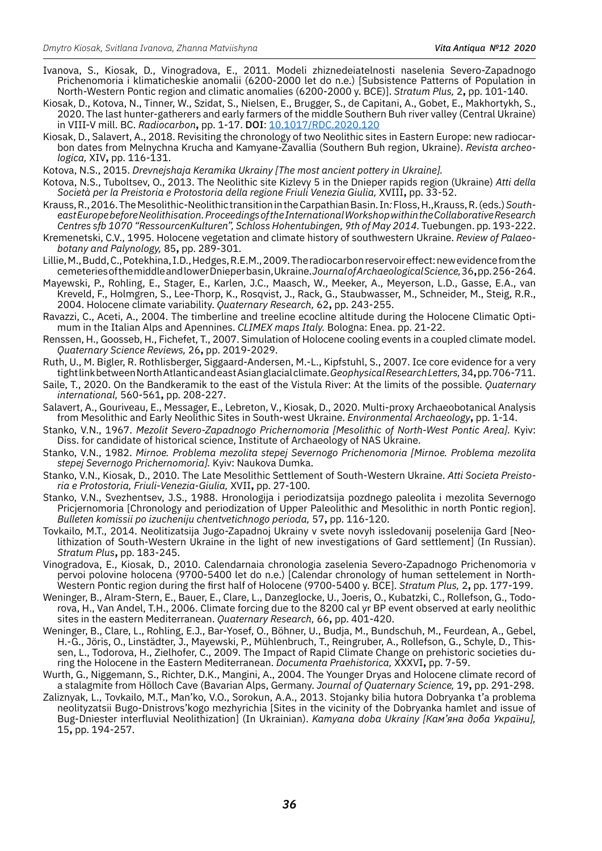- Ivanova, S., Kiosak, D., Vinogradova, E., 2011. Modeli zhiznedeiatelnosti naselenia Severo-Zapadnogo Prichenomoria i klimaticheskie anomalii (6200-2000 let do n.e.) [Subsistence Patterns of Population in North-Western Pontic region and climatic anomalies (6200-2000 y. BCE)]. *Stratum Plus,* 2**,** pp. 101-140.
- Kiosak, D., Kotova, N., Tinner, W., Szidat, S., Nielsen, E., Brugger, S., de Capitani, A., Gobet, E., Makhortykh, S., 2020. The last hunter-gatherers and early farmers of the middle Southern Buh river valley (Central Ukraine) in VIII-V mill. BC. *Radiocarbon***,** pp. 1-17. doi: [10.1017/RDC.2020.120](https://doi.org/10.1017/RDC.2020.120)
- Kiosak, D., Salavert, A., 2018. Revisiting the chronology of two Neolithic sites in Eastern Europe: new radiocarbon dates from Melnychna Krucha and Kamyane-Zavallia (Southern Buh region, Ukraine). *Revista archeologica,* XIV**,** pp. 116-131.
- Kotova, N.S., 2015. *Drevnejshaja Keramika Ukrainy [The most ancient pottery in Ukraine].*
- Kotova, N.S., Tuboltsev, O., 2013. The Neolithic site Kizlevy 5 in the Dnieper rapids region (Ukraine) *Atti della Società per la Preistoria e Protostoria della regione Friuli Venezia Giulia,* XVIII**,** pp. 33-52.
- Krauss, R., 2016. The Mesolithic-Neolithic transition in the Carpathian Basin. In*:* Floss, H.,Krauss, R. (eds.) *Southeast Europe before Neolithisation. Proceedings of the International Workshop within the Collaborative Research Centres sfb 1070 "RessourcenKulturen", Schloss Hohentubingen, 9th of May 2014.* Tuebungen. pp. 193-222.
- Kremenetski, C.V., 1995. Holocene vegetation and climate history of southwestern Ukraine. *Review of Palaeobotany and Palynology,* 85**,** pp. 289-301.
- Lillie, M., Budd, C., Potekhina, I.D., Hedges, R.E.M., 2009. The radiocarbon reservoir effect: new evidence from the cemeteries of the middle and lower Dnieper basin, Ukraine. *Journal of Archaeological Science,* 36**,** pp. 256-264.
- Mayewski, P., Rohling, E., Stager, E., Karlen, J.C., Maasch, W., Meeker, A., Meyerson, L.D., Gasse, E.A., van Kreveld, F., Holmgren, S., Lee-Thorp, K., Rosqvist, J., Rack, G., Staubwasser, M., Schneider, M., Steig, R.R., 2004. Holocene climate variability. *Quaternary Research,* 62**,** pp. 243-255.
- Ravazzi, C., Aceti, A., 2004. The timberline and treeline ecocline altitude during the Holocene Climatic Optimum in the Italian Alps and Apennines. *CLIMEX maps Italy.* Bologna: Enea. pp. 21-22.
- Renssen, H., Goosseb, H., Fichefet, T., 2007. Simulation of Holocene cooling events in a coupled climate model. *Quaternary Science Reviews,* 26**,** pp. 2019-2029.
- Ruth, U., M. Bigler, R. Rothlisberger, Siggaard-Andersen, M.-L., Kipfstuhl, S., 2007. Ice core evidence for a very tight link between North Atlantic and east Asian glacial climate. *Geophysical Research Letters,* 34**,** pp. 706-711.
- Saile, T., 2020. On the Bandkeramik to the east of the Vistula River: At the limits of the possible. *Quaternary international,* 560-561**,** pp. 208-227.
- Salavert, A., Gouriveau, E., Messager, E., Lebreton, V., Kiosak, D., 2020. Multi-proxy Archaeobotanical Analysis from Mesolithic and Early Neolithic Sites in South-west Ukraine. *Environmental Archaeology***,** pp. 1-14.
- Stanko, V.N., 1967. *Mezolit Severo-Zapadnogo Prichernomoria [Mesolithic of North-West Pontic Area].* Kyiv: Diss. for candidate of historical science, Institute of Archaeology of NAS Ukraine.
- Stanko, V.N., 1982. *Mirnoe. Problema mezolita stepej Severnogo Prichenomoria [Mirnoe. Problema mezolita stepej Severnogo Prichernomoria].* Kyiv: Naukova Dumka.
- Stanko, V.N., Kiosak, D., 2010. The Late Mesolithic Settlement of South-Western Ukraine. *Atti Societa Preistoria e Protostoria, Friuli-Venezia-Giulia,* XVII**,** pp. 27-100.
- Stanko, V.N., Svezhentsev, J.S., 1988. Hronologija i periodizatsija pozdnego paleolita i mezolita Severnogo Pricjernomoria [Chronology and periodization of Upper Paleolithic and Mesolithic in north Pontic region]. *Bulleten komissii po izucheniju chentvetichnogo perioda,* 57**,** pp. 116-120.
- Tovkailo, M.T., 2014. Neolitizatsija Jugo-Zapadnoj Ukrainy v svete novyh issledovanij poselenija Gard [Neolithization of South-Western Ukraine in the light of new investigations of Gard settlement] (In Russian). *Stratum Plus***,** pp. 183-245.
- Vinogradova, E., Kiosak, D., 2010. Calendarnaia chronologia zaselenia Severo-Zapadnogo Prichenomoria v pervoi polovine holocena (9700-5400 let do n.e.) [Calendar chronology of human settelement in North-Western Pontic region during the first half of Holocene (9700-5400 y. BCE]. *Stratum Plus,* 2**,** pp. 177-199.
- Weninger, B., Alram-Stern, E., Bauer, E., Clare, L., Danzeglocke, U., Joeris, O., Kubatzki, C., Rollefson, G., Todorova, H., Van Andel, T.H., 2006. Climate forcing due to the 8200 cal yr BP event observed at early neolithic sites in the eastern Mediterranean. *Quaternary Research,* 66**,** pp. 401-420.
- Weninger, B., Clare, L., Rohling, E.J., Bar-Yosef, O., Böhner, U., Budja, M., Bundschuh, M., Feurdean, A., Gebel, H.-G., Jöris, O., Linstädter, J., Mayewski, P., Mühlenbruch, T., Reingruber, A., Rollefson, G., Schyle, D., Thissen, L., Todorova, H., Zielhofer, C., 2009. The Impact of Rapid Climate Change on prehistoric societies during the Holocene in the Eastern Mediterranean. *Documenta Praehistorica,* XXXVI**,** pp. 7-59.
- Wurth, G., Niggemann, S., Richter, D.K., Mangini, A., 2004. The Younger Dryas and Holocene climate record of a stalagmite from Hölloch Cave (Bavarian Alps, Germany. *Journal of Quaternary Science,* 19**,** pp. 291-298.
- Zaliznyak, L., Tovkailo, M.T., Man'ko, V.O., Sorokun, A.A., 2013. Stojanky bilia hutora Dobryanka t'a problema neolityzatsii Bugo-Dnistrovs'kogo mezhyrichia [Sites in the vicinity of the Dobryanka hamlet and issue of Bug-Dniester interfluvial Neolithization] (In Ukrainian). *Kamyana doba Ukrainy [Кам'яна доба України],* 15**,** pp. 194-257.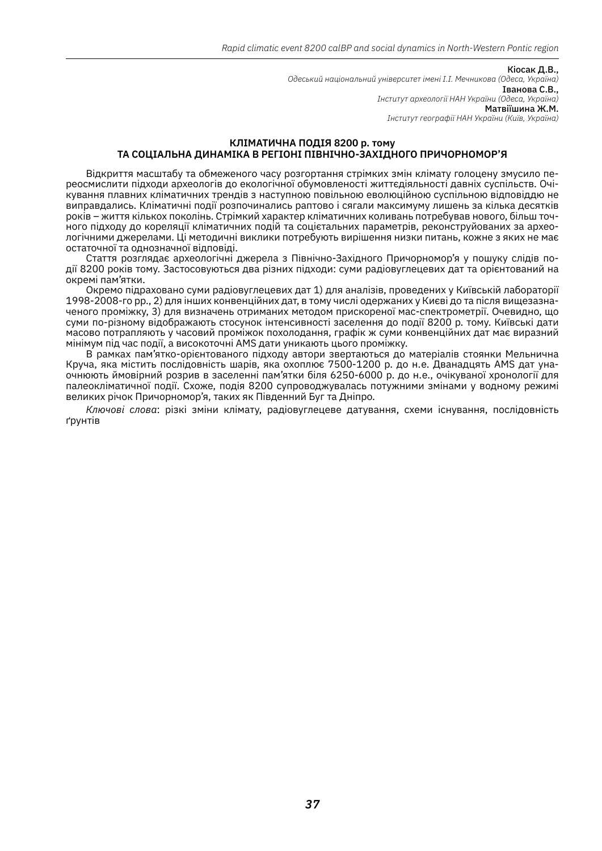Кіосак Д.В., *Одеський національний університет імені І.І. Мечникова (Одеса, Україна)* Іванова С.В., *Інститут археології НАН України (Одеса, Україна)* Матвіїшина Ж.М. *Інститут географії НАН України (Київ, Україна)*

### **КЛІМАТИЧНА ПОДІЯ 8200 р. тому ТА СОЦІАЛЬНА ДИНАМІКА В РЕГІОНІ ПІВНІЧНО-ЗАХІДНОГО ПРИЧОРНОМОР'Я**

Відкриття масштабу та обмеженого часу розгортання стрімких змін клімату голоцену змусило переосмислити підходи археологів до екологічної обумовленості життєдіяльності давніх суспільств. Очікування плавних кліматичних трендів з наступною повільною еволюційною суспільною відповіддю не виправдались. Кліматичні події розпочинались раптово і сягали максимуму лишень за кілька десятків років – життя кількох поколінь. Стрімкий характер кліматичних коливань потребував нового, більш точного підходу до кореляції кліматичних подій та соцієтальних параметрів, реконструйованих за археологічними джерелами. Ці методичні виклики потребують вирішення низки питань, кожне з яких не має остаточної та однозначної відповіді.

Стаття розглядає археологічні джерела з Північно-Західного Причорномор'я у пошуку слідів події 8200 років тому. Застосовуються два різних підходи: суми радіовуглецевих дат та орієнтований на окремі пам'ятки.

Окремо підраховано суми радіовуглецевих дат 1) для аналізів, проведених у Київській лабораторії 1998-2008-го рр., 2) для інших конвенційних дат, в тому числі одержаних у Києві до та після вищезазначеного проміжку, 3) для визначень отриманих методом прискореної мас-спектрометрії. Очевидно, що суми по-різному відображають стосунок інтенсивності заселення до події 8200 р. тому. Київські дати масово потрапляють у часовий проміжок похолодання, графік ж суми конвенційних дат має виразний мінімум під час події, а високоточні AMS дати уникають цього проміжку.

В рамках пам'ятко-орієнтованого підходу автори звертаються до матеріалів стоянки Мельнична Круча, яка містить послідовність шарів, яка охоплює 7500-1200 р. до н.е. Дванадцять АМS дат унаочнюють ймовірний розрив в заселенні пам'ятки біля 6250-6000 р. до н.е., очікуваної хронології для палеокліматичної події. Схоже, подія 8200 супроводжувалась потужними змінами у водному режимі великих річок Причорномор'я, таких як Південний Буг та Дніпро.

*Ключові слова*: різкі зміни клімату, радіовуглецеве датування, схеми існування, послідовність ґрунтів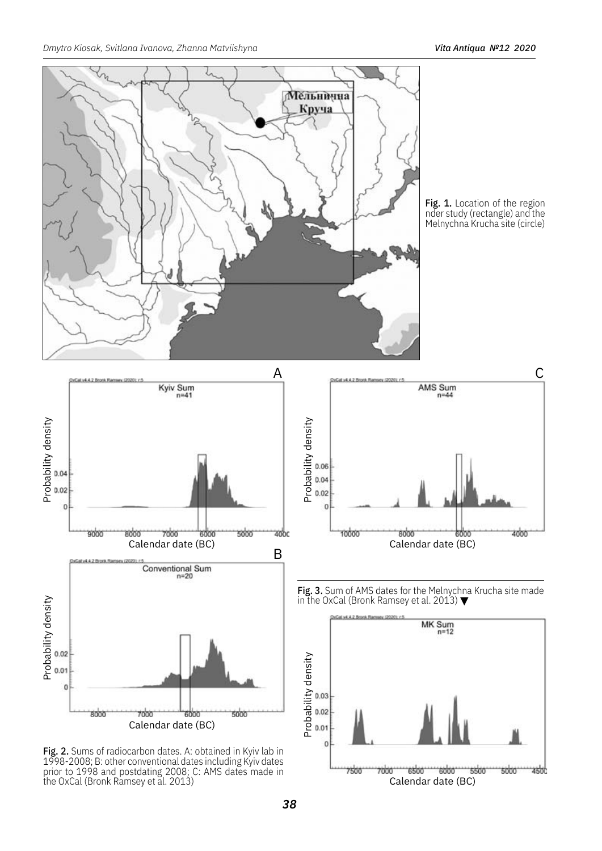

Fig. 1. Location of the region nder study (rectangle) and the Melnychna Krucha site (circle)



**Fig. 2.** Sums of radiocarbon dates. A: obtained in Kyiv lab in 1998-2008; B: other conventional dates including Kyiv dates prior to 1998 and postdating 2008; C: AMS dates made in the OxCal (Bronk Ramsey et al. 2013)



**Fig. 3.** Sum of AMS dates for the Melnychna Krucha site made in the OxCal (Bronk Ramsey et al. 2013)  $\blacktriangledown$